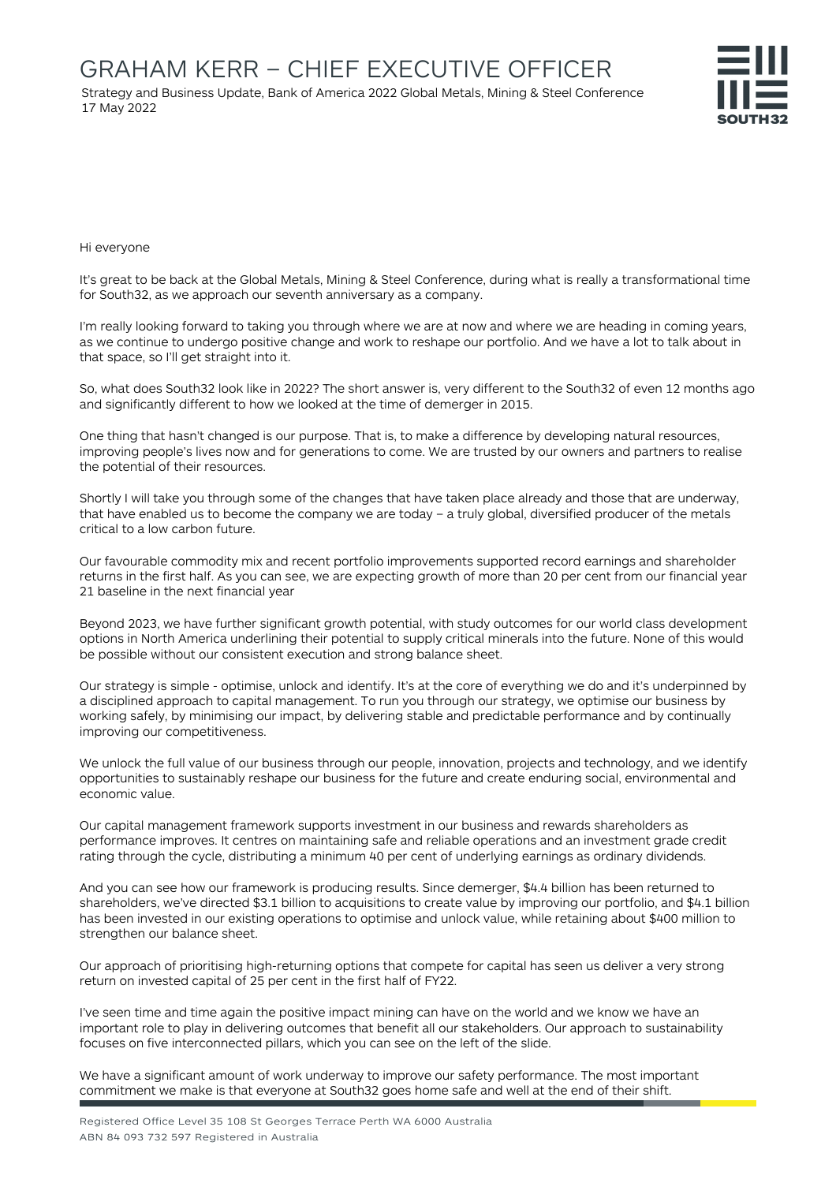Strategy and Business Update, Bank of America 2022 Global Metals, Mining & Steel Conference 17 May 2022



Hi everyone

It's great to be back at the Global Metals, Mining & Steel Conference, during what is really a transformational time for South32, as we approach our seventh anniversary as a company.

I'm really looking forward to taking you through where we are at now and where we are heading in coming years, as we continue to undergo positive change and work to reshape our portfolio. And we have a lot to talk about in that space, so I'll get straight into it.

So, what does South32 look like in 2022? The short answer is, very different to the South32 of even 12 months ago and significantly different to how we looked at the time of demerger in 2015.

One thing that hasn't changed is our purpose. That is, to make a difference by developing natural resources, improving people's lives now and for generations to come. We are trusted by our owners and partners to realise the potential of their resources.

Shortly I will take you through some of the changes that have taken place already and those that are underway, that have enabled us to become the company we are today – a truly global, diversified producer of the metals critical to a low carbon future.

Our favourable commodity mix and recent portfolio improvements supported record earnings and shareholder returns in the first half. As you can see, we are expecting growth of more than 20 per cent from our financial year 21 baseline in the next financial year

Beyond 2023, we have further significant growth potential, with study outcomes for our world class development options in North America underlining their potential to supply critical minerals into the future. None of this would be possible without our consistent execution and strong balance sheet.

Our strategy is simple - optimise, unlock and identify. It's at the core of everything we do and it's underpinned by a disciplined approach to capital management. To run you through our strategy, we optimise our business by working safely, by minimising our impact, by delivering stable and predictable performance and by continually improving our competitiveness.

We unlock the full value of our business through our people, innovation, projects and technology, and we identify opportunities to sustainably reshape our business for the future and create enduring social, environmental and economic value.

Our capital management framework supports investment in our business and rewards shareholders as performance improves. It centres on maintaining safe and reliable operations and an investment grade credit rating through the cycle, distributing a minimum 40 per cent of underlying earnings as ordinary dividends.

And you can see how our framework is producing results. Since demerger, \$4.4 billion has been returned to shareholders, we've directed \$3.1 billion to acquisitions to create value by improving our portfolio, and \$4.1 billion has been invested in our existing operations to optimise and unlock value, while retaining about \$400 million to strengthen our balance sheet.

Our approach of prioritising high-returning options that compete for capital has seen us deliver a very strong return on invested capital of 25 per cent in the first half of FY22.

I've seen time and time again the positive impact mining can have on the world and we know we have an important role to play in delivering outcomes that benefit all our stakeholders. Our approach to sustainability focuses on five interconnected pillars, which you can see on the left of the slide.

We have a significant amount of work underway to improve our safety performance. The most important commitment we make is that everyone at South32 goes home safe and well at the end of their shift.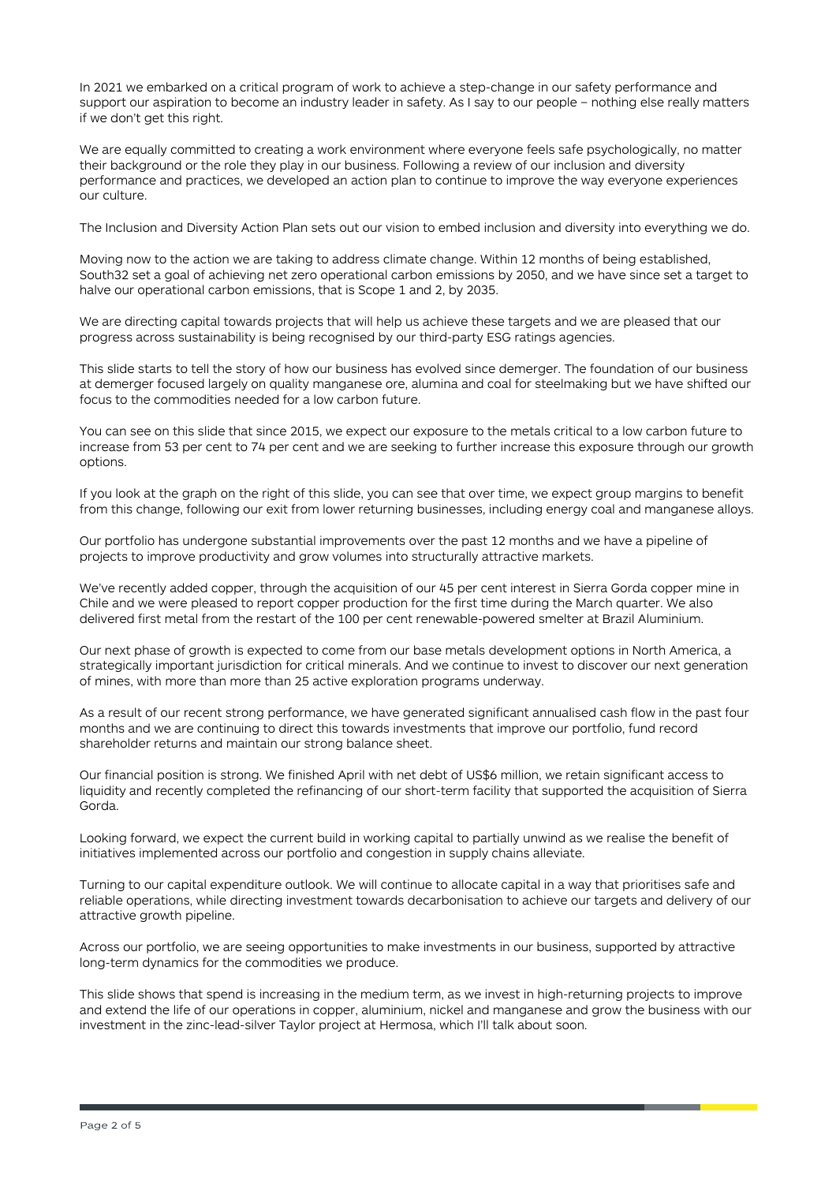In 2021 we embarked on a critical program of work to achieve a step-change in our safety performance and support our aspiration to become an industry leader in safety. As I say to our people – nothing else really matters if we don't get this right.

We are equally committed to creating a work environment where everyone feels safe psychologically, no matter their background or the role they play in our business. Following a review of our inclusion and diversity performance and practices, we developed an action plan to continue to improve the way everyone experiences our culture.

The Inclusion and Diversity Action Plan sets out our vision to embed inclusion and diversity into everything we do.

Moving now to the action we are taking to address climate change. Within 12 months of being established, South32 set a goal of achieving net zero operational carbon emissions by 2050, and we have since set a target to halve our operational carbon emissions, that is Scope 1 and 2, by 2035.

We are directing capital towards projects that will help us achieve these targets and we are pleased that our progress across sustainability is being recognised by our third-party ESG ratings agencies.

This slide starts to tell the story of how our business has evolved since demerger. The foundation of our business at demerger focused largely on quality manganese ore, alumina and coal for steelmaking but we have shifted our focus to the commodities needed for a low carbon future.

You can see on this slide that since 2015, we expect our exposure to the metals critical to a low carbon future to increase from 53 per cent to 74 per cent and we are seeking to further increase this exposure through our growth options.

If you look at the graph on the right of this slide, you can see that over time, we expect group margins to benefit from this change, following our exit from lower returning businesses, including energy coal and manganese alloys.

Our portfolio has undergone substantial improvements over the past 12 months and we have a pipeline of projects to improve productivity and grow volumes into structurally attractive markets.

We've recently added copper, through the acquisition of our 45 per cent interest in Sierra Gorda copper mine in Chile and we were pleased to report copper production for the first time during the March quarter. We also delivered first metal from the restart of the 100 per cent renewable-powered smelter at Brazil Aluminium.

Our next phase of growth is expected to come from our base metals development options in North America, a strategically important jurisdiction for critical minerals. And we continue to invest to discover our next generation of mines, with more than more than 25 active exploration programs underway.

As a result of our recent strong performance, we have generated significant annualised cash flow in the past four months and we are continuing to direct this towards investments that improve our portfolio, fund record shareholder returns and maintain our strong balance sheet.

Our financial position is strong. We finished April with net debt of US\$6 million, we retain significant access to liquidity and recently completed the refinancing of our short-term facility that supported the acquisition of Sierra Gorda.

Looking forward, we expect the current build in working capital to partially unwind as we realise the benefit of initiatives implemented across our portfolio and congestion in supply chains alleviate.

Turning to our capital expenditure outlook. We will continue to allocate capital in a way that prioritises safe and reliable operations, while directing investment towards decarbonisation to achieve our targets and delivery of our attractive growth pipeline.

Across our portfolio, we are seeing opportunities to make investments in our business, supported by attractive long-term dynamics for the commodities we produce.

This slide shows that spend is increasing in the medium term, as we invest in high-returning projects to improve and extend the life of our operations in copper, aluminium, nickel and manganese and grow the business with our investment in the zinc-lead-silver Taylor project at Hermosa, which I'll talk about soon.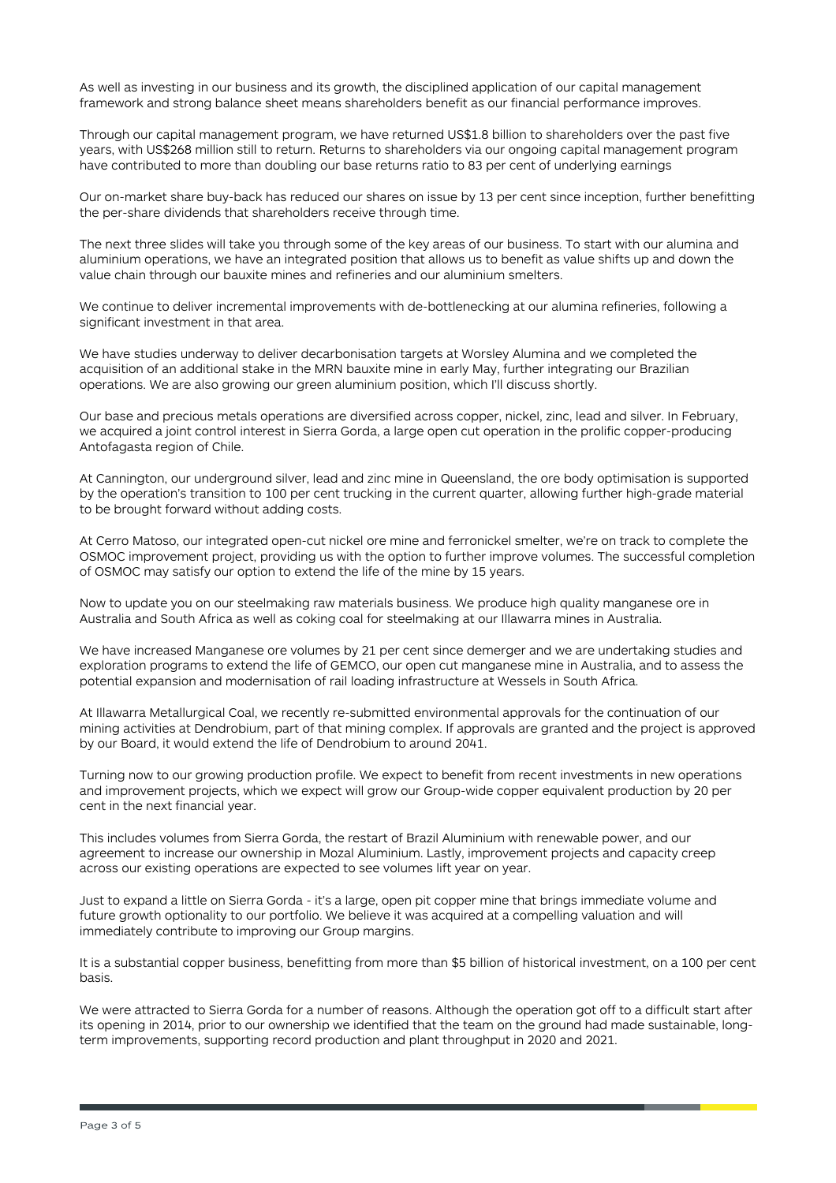As well as investing in our business and its growth, the disciplined application of our capital management framework and strong balance sheet means shareholders benefit as our financial performance improves.

Through our capital management program, we have returned US\$1.8 billion to shareholders over the past five years, with US\$268 million still to return. Returns to shareholders via our ongoing capital management program have contributed to more than doubling our base returns ratio to 83 per cent of underlying earnings

Our on-market share buy-back has reduced our shares on issue by 13 per cent since inception, further benefitting the per-share dividends that shareholders receive through time.

The next three slides will take you through some of the key areas of our business. To start with our alumina and aluminium operations, we have an integrated position that allows us to benefit as value shifts up and down the value chain through our bauxite mines and refineries and our aluminium smelters.

We continue to deliver incremental improvements with de-bottlenecking at our alumina refineries, following a significant investment in that area.

We have studies underway to deliver decarbonisation targets at Worsley Alumina and we completed the acquisition of an additional stake in the MRN bauxite mine in early May, further integrating our Brazilian operations. We are also growing our green aluminium position, which I'll discuss shortly.

Our base and precious metals operations are diversified across copper, nickel, zinc, lead and silver. In February, we acquired a joint control interest in Sierra Gorda, a large open cut operation in the prolific copper-producing Antofagasta region of Chile.

At Cannington, our underground silver, lead and zinc mine in Queensland, the ore body optimisation is supported by the operation's transition to 100 per cent trucking in the current quarter, allowing further high-grade material to be brought forward without adding costs.

At Cerro Matoso, our integrated open-cut nickel ore mine and ferronickel smelter, we're on track to complete the OSMOC improvement project, providing us with the option to further improve volumes. The successful completion of OSMOC may satisfy our option to extend the life of the mine by 15 years.

Now to update you on our steelmaking raw materials business. We produce high quality manganese ore in Australia and South Africa as well as coking coal for steelmaking at our Illawarra mines in Australia.

We have increased Manganese ore volumes by 21 per cent since demerger and we are undertaking studies and exploration programs to extend the life of GEMCO, our open cut manganese mine in Australia, and to assess the potential expansion and modernisation of rail loading infrastructure at Wessels in South Africa.

At Illawarra Metallurgical Coal, we recently re-submitted environmental approvals for the continuation of our mining activities at Dendrobium, part of that mining complex. If approvals are granted and the project is approved by our Board, it would extend the life of Dendrobium to around 2041.

Turning now to our growing production profile. We expect to benefit from recent investments in new operations and improvement projects, which we expect will grow our Group-wide copper equivalent production by 20 per cent in the next financial year.

This includes volumes from Sierra Gorda, the restart of Brazil Aluminium with renewable power, and our agreement to increase our ownership in Mozal Aluminium. Lastly, improvement projects and capacity creep across our existing operations are expected to see volumes lift year on year.

Just to expand a little on Sierra Gorda - it's a large, open pit copper mine that brings immediate volume and future growth optionality to our portfolio. We believe it was acquired at a compelling valuation and will immediately contribute to improving our Group margins.

It is a substantial copper business, benefitting from more than \$5 billion of historical investment, on a 100 per cent basis.

We were attracted to Sierra Gorda for a number of reasons. Although the operation got off to a difficult start after its opening in 2014, prior to our ownership we identified that the team on the ground had made sustainable, longterm improvements, supporting record production and plant throughput in 2020 and 2021.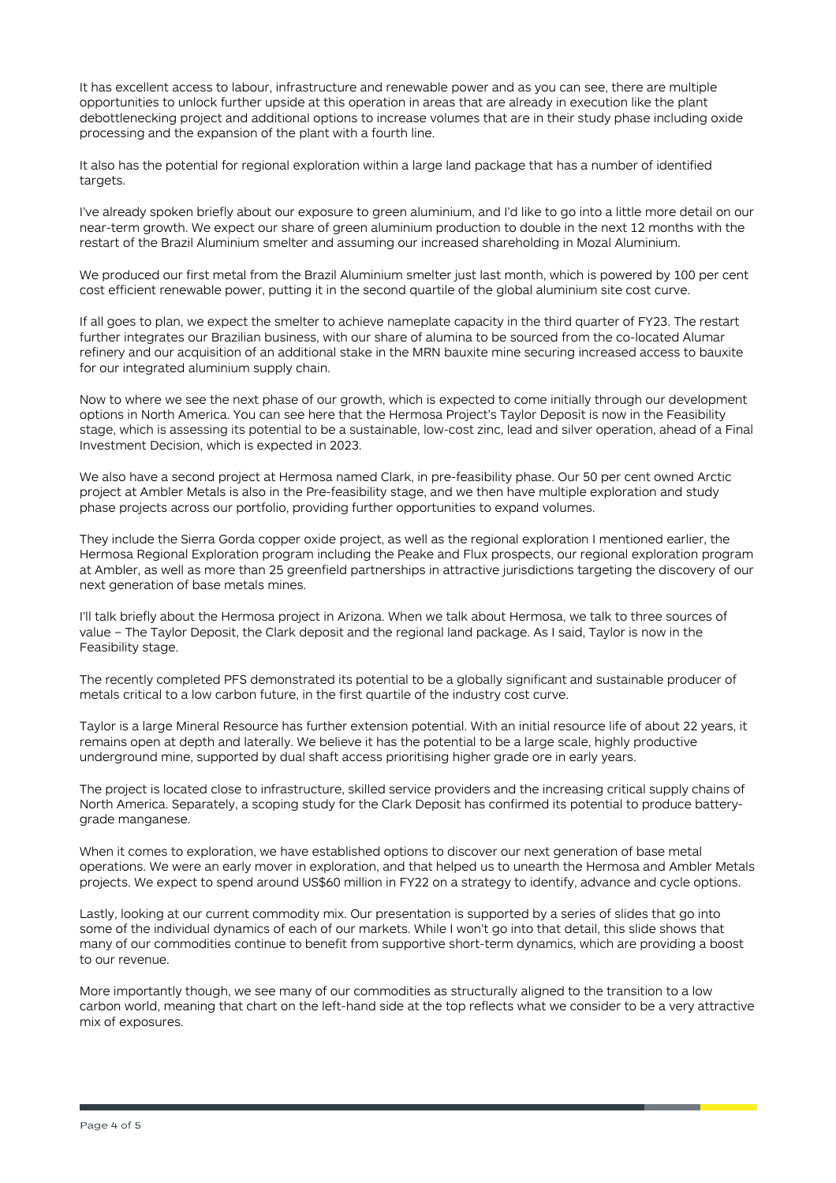It has excellent access to labour, infrastructure and renewable power and as you can see, there are multiple opportunities to unlock further upside at this operation in areas that are already in execution like the plant debottlenecking project and additional options to increase volumes that are in their study phase including oxide processing and the expansion of the plant with a fourth line.

It also has the potential for regional exploration within a large land package that has a number of identified targets.

I've already spoken briefly about our exposure to green aluminium, and I'd like to go into a little more detail on our near-term growth. We expect our share of green aluminium production to double in the next 12 months with the restart of the Brazil Aluminium smelter and assuming our increased shareholding in Mozal Aluminium.

We produced our first metal from the Brazil Aluminium smelter just last month, which is powered by 100 per cent cost efficient renewable power, putting it in the second quartile of the global aluminium site cost curve.

If all goes to plan, we expect the smelter to achieve nameplate capacity in the third quarter of FY23. The restart further integrates our Brazilian business, with our share of alumina to be sourced from the co-located Alumar refinery and our acquisition of an additional stake in the MRN bauxite mine securing increased access to bauxite for our integrated aluminium supply chain.

Now to where we see the next phase of our growth, which is expected to come initially through our development options in North America. You can see here that the Hermosa Project's Taylor Deposit is now in the Feasibility stage, which is assessing its potential to be a sustainable, low-cost zinc, lead and silver operation, ahead of a Final Investment Decision, which is expected in 2023.

We also have a second project at Hermosa named Clark, in pre-feasibility phase. Our 50 per cent owned Arctic project at Ambler Metals is also in the Pre-feasibility stage, and we then have multiple exploration and study phase projects across our portfolio, providing further opportunities to expand volumes.

They include the Sierra Gorda copper oxide project, as well as the regional exploration I mentioned earlier, the Hermosa Regional Exploration program including the Peake and Flux prospects, our regional exploration program at Ambler, as well as more than 25 greenfield partnerships in attractive jurisdictions targeting the discovery of our next generation of base metals mines.

I'll talk briefly about the Hermosa project in Arizona. When we talk about Hermosa, we talk to three sources of value – The Taylor Deposit, the Clark deposit and the regional land package. As I said, Taylor is now in the Feasibility stage.

The recently completed PFS demonstrated its potential to be a globally significant and sustainable producer of metals critical to a low carbon future, in the first quartile of the industry cost curve.

Taylor is a large Mineral Resource has further extension potential. With an initial resource life of about 22 years, it remains open at depth and laterally. We believe it has the potential to be a large scale, highly productive underground mine, supported by dual shaft access prioritising higher grade ore in early years.

The project is located close to infrastructure, skilled service providers and the increasing critical supply chains of North America. Separately, a scoping study for the Clark Deposit has confirmed its potential to produce batterygrade manganese.

When it comes to exploration, we have established options to discover our next generation of base metal operations. We were an early mover in exploration, and that helped us to unearth the Hermosa and Ambler Metals projects. We expect to spend around US\$60 million in FY22 on a strategy to identify, advance and cycle options.

Lastly, looking at our current commodity mix. Our presentation is supported by a series of slides that go into some of the individual dynamics of each of our markets. While I won't go into that detail, this slide shows that many of our commodities continue to benefit from supportive short-term dynamics, which are providing a boost to our revenue.

More importantly though, we see many of our commodities as structurally aligned to the transition to a low carbon world, meaning that chart on the left-hand side at the top reflects what we consider to be a very attractive mix of exposures.